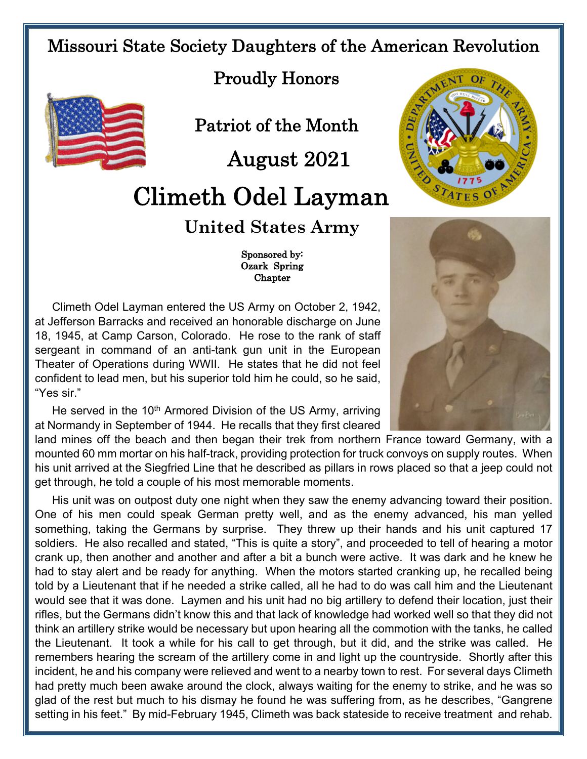## Missouri State Society Daughters of the American Revolution





Patriot of the Month

August 2021

## Climeth Odel Layman

## **United States Army**

 Sponsored by: Ozark Spring Chapter

Climeth Odel Layman entered the US Army on October 2, 1942, at Jefferson Barracks and received an honorable discharge on June 18, 1945, at Camp Carson, Colorado. He rose to the rank of staff sergeant in command of an anti-tank gun unit in the European Theater of Operations during WWII. He states that he did not feel confident to lead men, but his superior told him he could, so he said, "Yes sir."

He served in the 10<sup>th</sup> Armored Division of the US Army, arriving at Normandy in September of 1944. He recalls that they first cleared

land mines off the beach and then began their trek from northern France toward Germany, with a mounted 60 mm mortar on his half-track, providing protection for truck convoys on supply routes. When his unit arrived at the Siegfried Line that he described as pillars in rows placed so that a jeep could not get through, he told a couple of his most memorable moments.

His unit was on outpost duty one night when they saw the enemy advancing toward their position. One of his men could speak German pretty well, and as the enemy advanced, his man yelled something, taking the Germans by surprise. They threw up their hands and his unit captured 17 soldiers. He also recalled and stated, "This is quite a story", and proceeded to tell of hearing a motor crank up, then another and another and after a bit a bunch were active. It was dark and he knew he had to stay alert and be ready for anything. When the motors started cranking up, he recalled being told by a Lieutenant that if he needed a strike called, all he had to do was call him and the Lieutenant would see that it was done. Laymen and his unit had no big artillery to defend their location, just their rifles, but the Germans didn't know this and that lack of knowledge had worked well so that they did not think an artillery strike would be necessary but upon hearing all the commotion with the tanks, he called the Lieutenant. It took a while for his call to get through, but it did, and the strike was called. He remembers hearing the scream of the artillery come in and light up the countryside. Shortly after this incident, he and his company were relieved and went to a nearby town to rest. For several days Climeth had pretty much been awake around the clock, always waiting for the enemy to strike, and he was so glad of the rest but much to his dismay he found he was suffering from, as he describes, "Gangrene setting in his feet." By mid-February 1945, Climeth was back stateside to receive treatment and rehab.